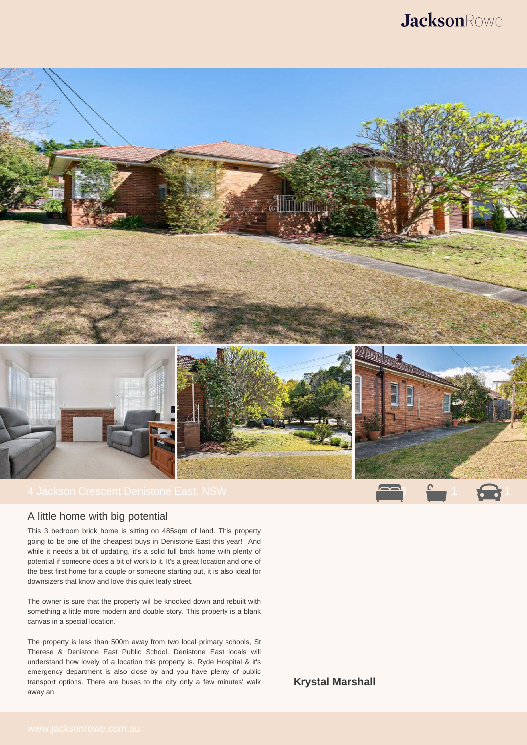



## A little home with big potential

This 3 bedroom brick home is sitting on 485sqm of land. This property going to be one of the cheapest buys in Denistone East this year! And while it needs a bit of updating, it's a solid full brick home with plenty of potential if someone does a bit of work to it. It's a great location and one of the best first home for a couple or someone starting out, it is also ideal for downsizers that know and love this quiet leafy street.

The owner is sure that the property will be knocked down and rebuilt with something a little more modern and double story. This property is a blank canvas in a special location.

The property is less than 500m away from two local primary schools, St Therese & Denistone East Public School. Denistone East locals will understand how lovely of a location this property is. Ryde Hospital & it's emergency department is also close by and you have plenty of public transport options. There are buses to the city only a few minutes' walk away an

**Krystal Marshall**